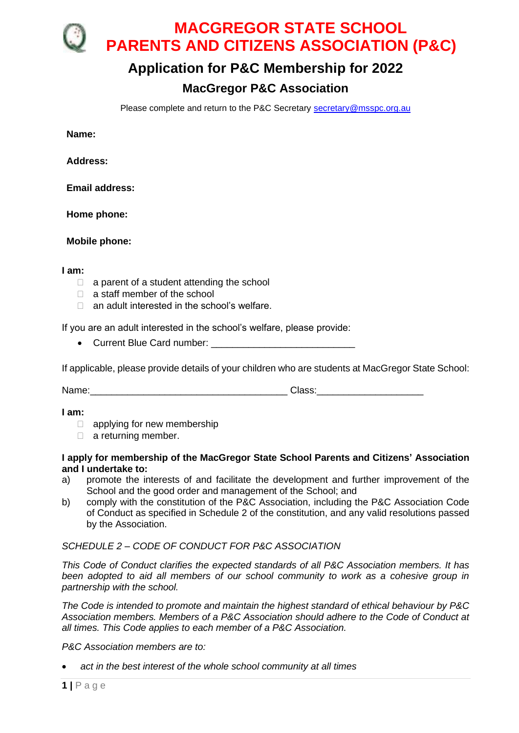**MACGREGOR STATE SCHOOL PARENTS AND CITIZENS ASSOCIATION (P&C)** 

## **Application for P&C Membership for 2022**

## **MacGregor P&C Association**

Please complete and return to the P&C Secretary [secretary@msspc.org.au](mailto:secretary@msspc.org.au)

**Name:**

**Address:**

**Email address:**

**Home phone:**

**Mobile phone:**

**I am:**

- $\Box$  a parent of a student attending the school
- $\Box$  a staff member of the school
- $\Box$  an adult interested in the school's welfare.

If you are an adult interested in the school's welfare, please provide:

• Current Blue Card number:

If applicable, please provide details of your children who are students at MacGregor State School:

Name: which is a controller to the controller of the Class:  $\Box$ 

**I am:**

□ applying for new membership

 $\Box$  a returning member.

## **I apply for membership of the MacGregor State School Parents and Citizens' Association and I undertake to:**

- a) promote the interests of and facilitate the development and further improvement of the School and the good order and management of the School; and
- b) comply with the constitution of the P&C Association, including the P&C Association Code of Conduct as specified in Schedule 2 of the constitution, and any valid resolutions passed by the Association.

## *SCHEDULE 2 – CODE OF CONDUCT FOR P&C ASSOCIATION*

*This Code of Conduct clarifies the expected standards of all P&C Association members. It has been adopted to aid all members of our school community to work as a cohesive group in partnership with the school.*

*The Code is intended to promote and maintain the highest standard of ethical behaviour by P&C Association members. Members of a P&C Association should adhere to the Code of Conduct at all times. This Code applies to each member of a P&C Association.*

*P&C Association members are to:*

• *act in the best interest of the whole school community at all times*